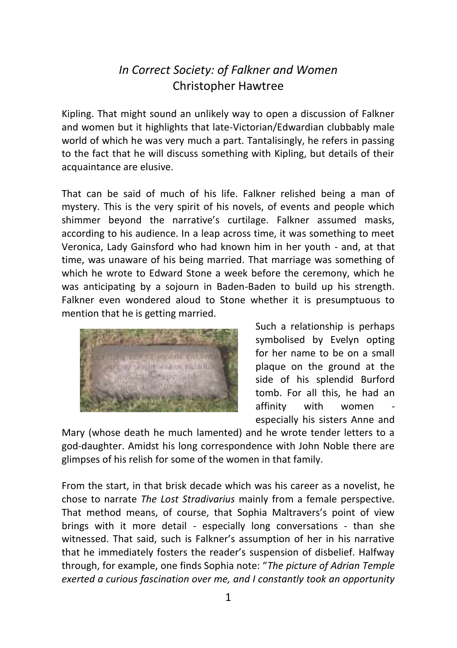## *In Correct Society: of Falkner and Women* Christopher Hawtree

Kipling. That might sound an unlikely way to open a discussion of Falkner and women but it highlights that late-Victorian/Edwardian clubbably male world of which he was very much a part. Tantalisingly, he refers in passing to the fact that he will discuss something with Kipling, but details of their acquaintance are elusive.

That can be said of much of his life. Falkner relished being a man of mystery. This is the very spirit of his novels, of events and people which shimmer beyond the narrative's curtilage. Falkner assumed masks, according to his audience. In a leap across time, it was something to meet Veronica, Lady Gainsford who had known him in her youth - and, at that time, was unaware of his being married. That marriage was something of which he wrote to Edward Stone a week before the ceremony, which he was anticipating by a sojourn in Baden-Baden to build up his strength. Falkner even wondered aloud to Stone whether it is presumptuous to mention that he is getting married.



Such a relationship is perhaps symbolised by Evelyn opting for her name to be on a small plaque on the ground at the side of his splendid Burford tomb. For all this, he had an affinity with women especially his sisters Anne and

Mary (whose death he much lamented) and he wrote tender letters to a god-daughter. Amidst his long correspondence with John Noble there are glimpses of his relish for some of the women in that family.

From the start, in that brisk decade which was his career as a novelist, he chose to narrate *The Lost Stradivarius* mainly from a female perspective. That method means, of course, that Sophia Maltravers's point of view brings with it more detail - especially long conversations - than she witnessed. That said, such is Falkner's assumption of her in his narrative that he immediately fosters the reader's suspension of disbelief. Halfway through, for example, one finds Sophia note: "*The picture of Adrian Temple exerted a curious fascination over me, and I constantly took an opportunity*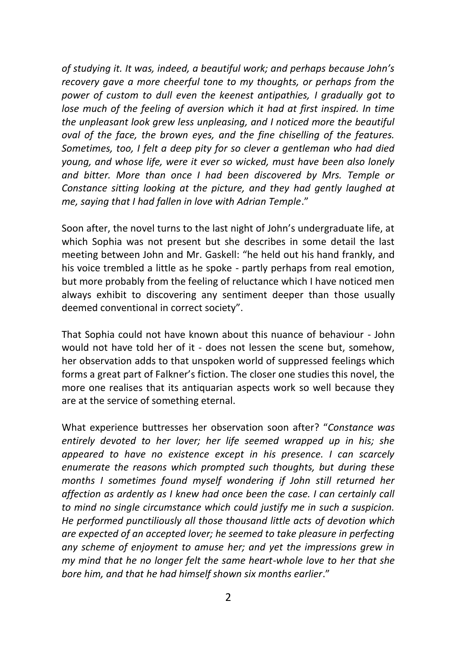*of studying it. It was, indeed, a beautiful work; and perhaps because John's recovery gave a more cheerful tone to my thoughts, or perhaps from the power of custom to dull even the keenest antipathies, I gradually got to lose much of the feeling of aversion which it had at first inspired. In time the unpleasant look grew less unpleasing, and I noticed more the beautiful oval of the face, the brown eyes, and the fine chiselling of the features. Sometimes, too, I felt a deep pity for so clever a gentleman who had died young, and whose life, were it ever so wicked, must have been also lonely and bitter. More than once I had been discovered by Mrs. Temple or Constance sitting looking at the picture, and they had gently laughed at me, saying that I had fallen in love with Adrian Temple*."

Soon after, the novel turns to the last night of John's undergraduate life, at which Sophia was not present but she describes in some detail the last meeting between John and Mr. Gaskell: "he held out his hand frankly, and his voice trembled a little as he spoke - partly perhaps from real emotion, but more probably from the feeling of reluctance which I have noticed men always exhibit to discovering any sentiment deeper than those usually deemed conventional in correct society".

That Sophia could not have known about this nuance of behaviour - John would not have told her of it - does not lessen the scene but, somehow, her observation adds to that unspoken world of suppressed feelings which forms a great part of Falkner's fiction. The closer one studies this novel, the more one realises that its antiquarian aspects work so well because they are at the service of something eternal.

What experience buttresses her observation soon after? "*Constance was entirely devoted to her lover; her life seemed wrapped up in his; she appeared to have no existence except in his presence. I can scarcely enumerate the reasons which prompted such thoughts, but during these months I sometimes found myself wondering if John still returned her affection as ardently as I knew had once been the case. I can certainly call to mind no single circumstance which could justify me in such a suspicion. He performed punctiliously all those thousand little acts of devotion which are expected of an accepted lover; he seemed to take pleasure in perfecting any scheme of enjoyment to amuse her; and yet the impressions grew in my mind that he no longer felt the same heart-whole love to her that she bore him, and that he had himself shown six months earlier*."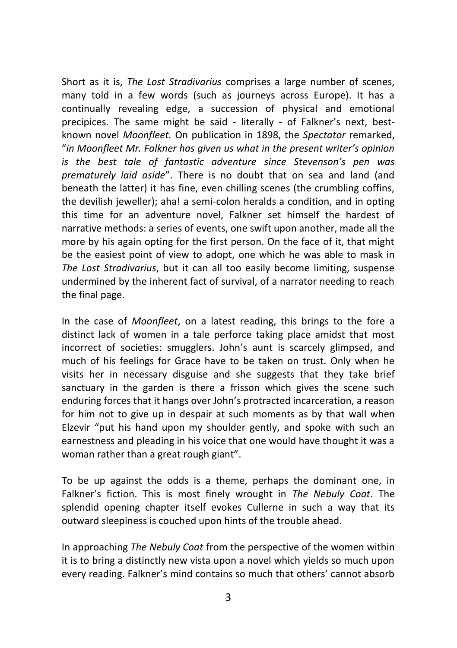Short as it is, *The Lost Stradivarius* comprises a large number of scenes, many told in a few words (such as journeys across Europe). It has a continually revealing edge, a succession of physical and emotional precipices. The same might be said - literally - of Falkner's next, bestknown novel *Moonfleet.* On publication in 1898, the *Spectator* remarked, "*in Moonfleet Mr. Falkner has given us what in the present writer's opinion is the best tale of fantastic adventure since Stevenson's pen was prematurely laid aside*". There is no doubt that on sea and land (and beneath the latter) it has fine, even chilling scenes (the crumbling coffins, the devilish jeweller); aha! a semi-colon heralds a condition, and in opting this time for an adventure novel, Falkner set himself the hardest of narrative methods: a series of events, one swift upon another, made all the more by his again opting for the first person. On the face of it, that might be the easiest point of view to adopt, one which he was able to mask in *The Lost Stradivarius*, but it can all too easily become limiting, suspense undermined by the inherent fact of survival, of a narrator needing to reach the final page.

In the case of *Moonfleet*, on a latest reading, this brings to the fore a distinct lack of women in a tale perforce taking place amidst that most incorrect of societies: smugglers. John's aunt is scarcely glimpsed, and much of his feelings for Grace have to be taken on trust. Only when he visits her in necessary disguise and she suggests that they take brief sanctuary in the garden is there a frisson which gives the scene such enduring forces that it hangs over John's protracted incarceration, a reason for him not to give up in despair at such moments as by that wall when Elzevir "put his hand upon my shoulder gently, and spoke with such an earnestness and pleading in his voice that one would have thought it was a woman rather than a great rough giant".

To be up against the odds is a theme, perhaps the dominant one, in Falkner's fiction. This is most finely wrought in *The Nebuly Coat*. The splendid opening chapter itself evokes Cullerne in such a way that its outward sleepiness is couched upon hints of the trouble ahead.

In approaching *The Nebuly Coat* from the perspective of the women within it is to bring a distinctly new vista upon a novel which yields so much upon every reading. Falkner's mind contains so much that others' cannot absorb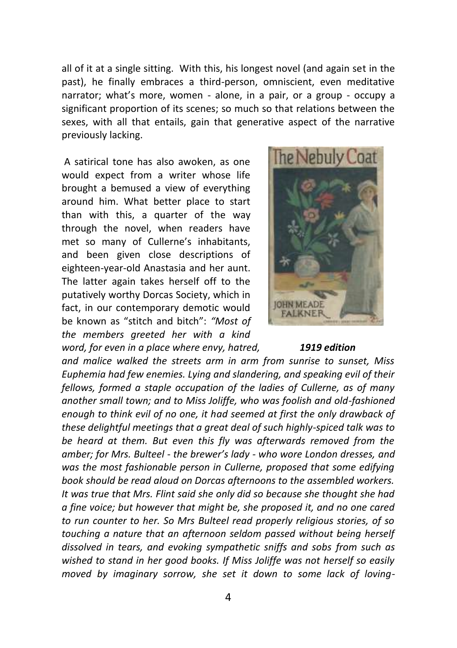all of it at a single sitting. With this, his longest novel (and again set in the past), he finally embraces a third-person, omniscient, even meditative narrator; what's more, women - alone, in a pair, or a group - occupy a significant proportion of its scenes; so much so that relations between the sexes, with all that entails, gain that generative aspect of the narrative previously lacking.

A satirical tone has also awoken, as one would expect from a writer whose life brought a bemused a view of everything around him. What better place to start than with this, a quarter of the way through the novel, when readers have met so many of Cullerne's inhabitants, and been given close descriptions of eighteen-year-old Anastasia and her aunt. The latter again takes herself off to the putatively worthy Dorcas Society, which in fact, in our contemporary demotic would be known as "stitch and bitch": *"Most of the members greeted her with a kind word, for even in a place where envy, hatred, 1919 edition*



*and malice walked the streets arm in arm from sunrise to sunset, Miss Euphemia had few enemies. Lying and slandering, and speaking evil of their fellows, formed a staple occupation of the ladies of Cullerne, as of many another small town; and to Miss Joliffe, who was foolish and old-fashioned enough to think evil of no one, it had seemed at first the only drawback of these delightful meetings that a great deal of such highly-spiced talk was to be heard at them. But even this fly was afterwards removed from the amber; for Mrs. Bulteel - the brewer's lady - who wore London dresses, and was the most fashionable person in Cullerne, proposed that some edifying book should be read aloud on Dorcas afternoons to the assembled workers. It was true that Mrs. Flint said she only did so because she thought she had a fine voice; but however that might be, she proposed it, and no one cared to run counter to her. So Mrs Bulteel read properly religious stories, of so touching a nature that an afternoon seldom passed without being herself dissolved in tears, and evoking sympathetic sniffs and sobs from such as wished to stand in her good books. If Miss Joliffe was not herself so easily moved by imaginary sorrow, she set it down to some lack of loving-*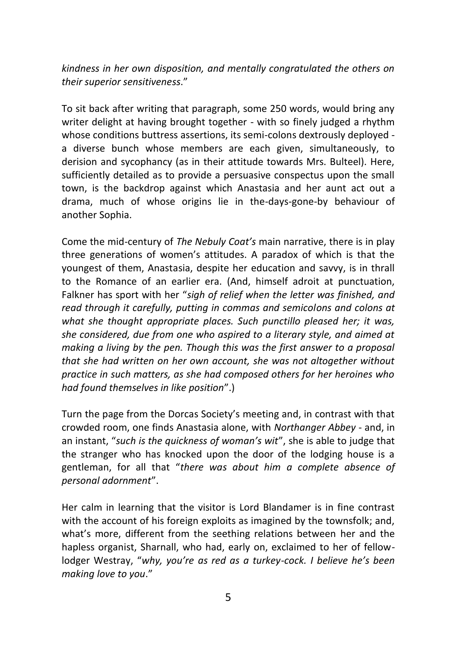*kindness in her own disposition, and mentally congratulated the others on their superior sensitiveness*."

To sit back after writing that paragraph, some 250 words, would bring any writer delight at having brought together - with so finely judged a rhythm whose conditions buttress assertions, its semi-colons dextrously deployed a diverse bunch whose members are each given, simultaneously, to derision and sycophancy (as in their attitude towards Mrs. Bulteel). Here, sufficiently detailed as to provide a persuasive conspectus upon the small town, is the backdrop against which Anastasia and her aunt act out a drama, much of whose origins lie in the-days-gone-by behaviour of another Sophia.

Come the mid-century of *The Nebuly Coat's* main narrative, there is in play three generations of women's attitudes. A paradox of which is that the youngest of them, Anastasia, despite her education and savvy, is in thrall to the Romance of an earlier era. (And, himself adroit at punctuation, Falkner has sport with her "*sigh of relief when the letter was finished, and read through it carefully, putting in commas and semicolons and colons at what she thought appropriate places. Such punctillo pleased her; it was, she considered, due from one who aspired to a literary style, and aimed at making a living by the pen. Though this was the first answer to a proposal that she had written on her own account, she was not altogether without practice in such matters, as she had composed others for her heroines who had found themselves in like position*".)

Turn the page from the Dorcas Society's meeting and, in contrast with that crowded room, one finds Anastasia alone, with *Northanger Abbey* - and, in an instant, "*such is the quickness of woman's wit*", she is able to judge that the stranger who has knocked upon the door of the lodging house is a gentleman, for all that "*there was about him a complete absence of personal adornment*".

Her calm in learning that the visitor is Lord Blandamer is in fine contrast with the account of his foreign exploits as imagined by the townsfolk; and, what's more, different from the seething relations between her and the hapless organist, Sharnall, who had, early on, exclaimed to her of fellowlodger Westray, "*why, you're as red as a turkey-cock. I believe he's been making love to you*."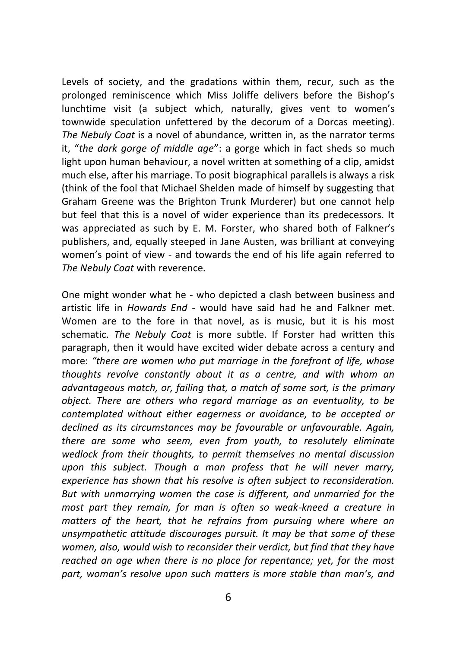Levels of society, and the gradations within them, recur, such as the prolonged reminiscence which Miss Joliffe delivers before the Bishop's lunchtime visit (a subject which, naturally, gives vent to women's townwide speculation unfettered by the decorum of a Dorcas meeting). *The Nebuly Coat* is a novel of abundance, written in, as the narrator terms it, "*the dark gorge of middle age*": a gorge which in fact sheds so much light upon human behaviour, a novel written at something of a clip, amidst much else, after his marriage. To posit biographical parallels is always a risk (think of the fool that Michael Shelden made of himself by suggesting that Graham Greene was the Brighton Trunk Murderer) but one cannot help but feel that this is a novel of wider experience than its predecessors. It was appreciated as such by E. M. Forster, who shared both of Falkner's publishers, and, equally steeped in Jane Austen, was brilliant at conveying women's point of view - and towards the end of his life again referred to *The Nebuly Coat* with reverence.

One might wonder what he - who depicted a clash between business and artistic life in *Howards End* - would have said had he and Falkner met. Women are to the fore in that novel, as is music, but it is his most schematic. *The Nebuly Coat* is more subtle. If Forster had written this paragraph, then it would have excited wider debate across a century and more: *"there are women who put marriage in the forefront of life, whose thoughts revolve constantly about it as a centre, and with whom an advantageous match, or, failing that, a match of some sort, is the primary object. There are others who regard marriage as an eventuality, to be contemplated without either eagerness or avoidance, to be accepted or declined as its circumstances may be favourable or unfavourable. Again, there are some who seem, even from youth, to resolutely eliminate wedlock from their thoughts, to permit themselves no mental discussion upon this subject. Though a man profess that he will never marry, experience has shown that his resolve is often subject to reconsideration. But with unmarrying women the case is different, and unmarried for the most part they remain, for man is often so weak-kneed a creature in matters of the heart, that he refrains from pursuing where where an unsympathetic attitude discourages pursuit. It may be that some of these women, also, would wish to reconsider their verdict, but find that they have reached an age when there is no place for repentance; yet, for the most part, woman's resolve upon such matters is more stable than man's, and*